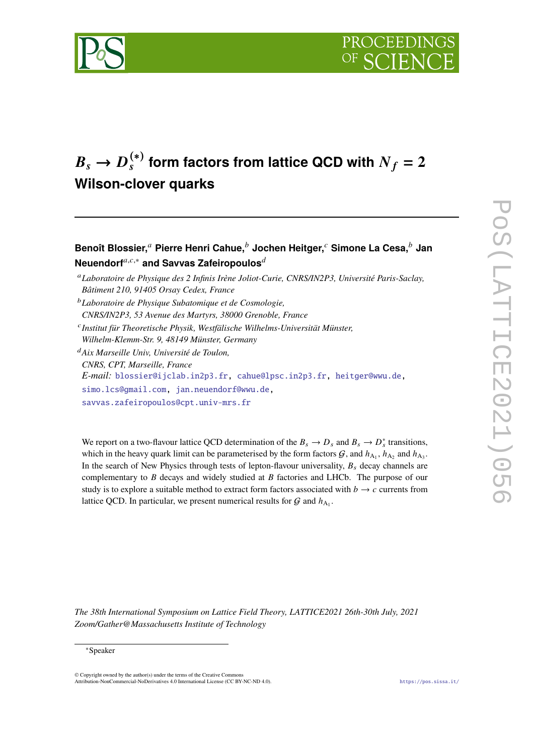



# $B_s \rightarrow D_s^{(*)}$  $f^{(*)}_s$  form factors from lattice QCD with  $N_f=2$ **Wilson-clover quarks**

# **Benoît Blossier, Pierre Henri Cahue, Jochen Heitger, Simone La Cesa, Jan Neuendorf**<sup>a,c,∗</sup> and Savvas Zafeiropoulos<sup>*d*</sup>

- *Laboratoire de Physique Subatomique et de Cosmologie, CNRS/IN2P3, 53 Avenue des Martyrs, 38000 Grenoble, France*
- *Institut für Theoretische Physik, Westfälische Wilhelms-Universität Münster, Wilhelm-Klemm-Str. 9, 48149 Münster, Germany*

*Aix Marseille Univ, Université de Toulon, CNRS, CPT, Marseille, France E-mail:* [blossier@ijclab.in2p3.fr,](mailto:blossier@ijclab.in2p3.fr) [cahue@lpsc.in2p3.fr,](mailto:cahue@lpsc.in2p3.fr) [heitger@wwu.de,](mailto:heitger@wwu.de) [simo.lcs@gmail.com,](mailto:simo.lcs@gmail.com) [jan.neuendorf@wwu.de,](mailto:jan.neuendorf@wwu.de) [savvas.zafeiropoulos@cpt.univ-mrs.fr](mailto:savvas.zafeiropoulos@cpt.univ-mrs.fr)

We report on a two-flavour lattice QCD determination of the  $B_s \to D_s$  and  $B_s \to D_s^*$  transitions, which in the heavy quark limit can be parameterised by the form factors  $G$ , and  $h_{A_1}$ ,  $h_{A_2}$  and  $h_{A_3}$ . In the search of New Physics through tests of lepton-flavour universality,  $B_s$  decay channels are complementary to  $\hat{B}$  decays and widely studied at  $\hat{B}$  factories and LHCb. The purpose of our study is to explore a suitable method to extract form factors associated with  $b \rightarrow c$  currents from lattice QCD. In particular, we present numerical results for  $G$  and  $h_{A_1}$ .

*The 38th International Symposium on Lattice Field Theory, LATTICE2021 26th-30th July, 2021 Zoom/Gather@Massachusetts Institute of Technology*

### ∗Speaker

© Copyright owned by the author(s) under the terms of the Creative Commons Attribution-NonCommercial-NoDerivatives 4.0 International License (CC BY-NC-ND 4.0). <https://pos.sissa.it/>

*Laboratoire de Physique des 2 Infinis Irène Joliot-Curie, CNRS/IN2P3, Université Paris-Saclay, Bâtiment 210, 91405 Orsay Cedex, France*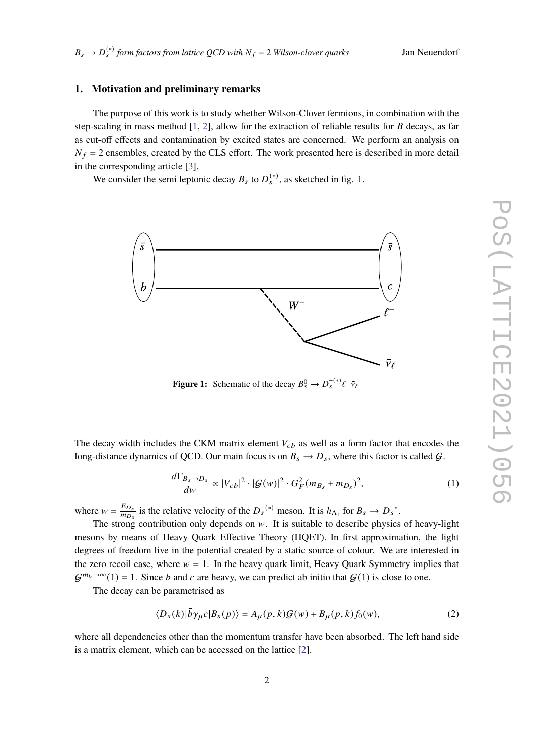# **1. Motivation and preliminary remarks**

The purpose of this work is to study whether Wilson-Clover fermions, in combination with the step-scaling in mass method  $[1, 2]$  $[1, 2]$  $[1, 2]$ , allow for the extraction of reliable results for  $B$  decays, as far as cut-off effects and contamination by excited states are concerned. We perform an analysis on  $N_f = 2$  ensembles, created by the CLS effort. The work presented here is described in more detail in the corresponding article [\[3\]](#page-6-2).

We consider the semi leptonic decay  $B_s$  to  $D_s^{(*)}$ , as sketched in fig. [1.](#page-1-0)



<span id="page-1-0"></span>**Figure 1:** Schematic of the decay  $\overline{B}_s^0 \to D_s^{+(*)} \ell^- \overline{\nu}_{\ell}$ 

The decay width includes the CKM matrix element  $V_{cb}$  as well as a form factor that encodes the long-distance dynamics of QCD. Our main focus is on  $B_s \to D_s$ , where this factor is called  $G$ .

$$
\frac{d\Gamma_{B_s \to D_s}}{dw} \propto |V_{cb}|^2 \cdot |\mathcal{G}(w)|^2 \cdot G_F^2 (m_{B_s} + m_{D_s})^2, \tag{1}
$$

where  $w = \frac{E_{D_s}}{m_D}$  $\frac{E_{D_s}}{m_{D_s}}$  is the relative velocity of the  $D_s^{(*)}$  meson. It is  $h_{A_1}$  for  $B_s \to D_s^*$ .

The strong contribution only depends on  $w$ . It is suitable to describe physics of heavy-light mesons by means of Heavy Quark Effective Theory (HQET). In first approximation, the light degrees of freedom live in the potential created by a static source of colour. We are interested in the zero recoil case, where  $w = 1$ . In the heavy quark limit, Heavy Quark Symmetry implies that  $G^{m_h \to \infty}(1) = 1$ . Since b and c are heavy, we can predict ab initio that  $G(1)$  is close to one.

The decay can be parametrised as

<span id="page-1-1"></span>
$$
\langle D_s(k)|\bar{b}\gamma_\mu c|B_s(p)\rangle = A_\mu(p,k)\mathcal{G}(w) + B_\mu(p,k)f_0(w),\tag{2}
$$

where all dependencies other than the momentum transfer have been absorbed. The left hand side is a matrix element, which can be accessed on the lattice [\[2\]](#page-6-1).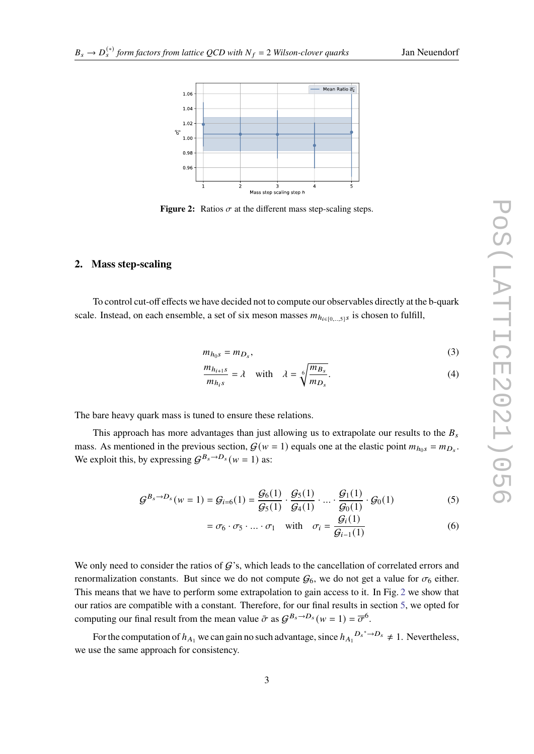<span id="page-2-0"></span>

**Figure 2:** Ratios  $\sigma$  at the different mass step-scaling steps.

#### **2. Mass step-scaling**

To control cut-off effects we have decided not to compute our observables directly at the b-quark scale. Instead, on each ensemble, a set of six meson masses  $m_{h_{i\in[0,\ldots,5]}}$  is chosen to fulfill,

$$
m_{h_0s} = m_{D_s},\tag{3}
$$

$$
\frac{m_{h_{i+1}s}}{m_{h_{i}s}} = \lambda \quad \text{with} \quad \lambda = \sqrt[6]{\frac{m_{B_s}}{m_{D_s}}}.
$$
\n(4)

The bare heavy quark mass is tuned to ensure these relations.

This approach has more advantages than just allowing us to extrapolate our results to the  $B_s$ mass. As mentioned in the previous section,  $G(w = 1)$  equals one at the elastic point  $m_{h_0 s} = m_{D_s}$ . We exploit this, by expressing  $G^{B_s \to D_s}(w = 1)$  as:

$$
\mathcal{G}^{B_s \to D_s}(w=1) = \mathcal{G}_{i=6}(1) = \frac{\mathcal{G}_6(1)}{\mathcal{G}_5(1)} \cdot \frac{\mathcal{G}_5(1)}{\mathcal{G}_4(1)} \cdot \dots \cdot \frac{\mathcal{G}_1(1)}{\mathcal{G}_0(1)} \cdot \mathcal{G}_0(1) \tag{5}
$$

$$
= \sigma_6 \cdot \sigma_5 \cdot \ldots \cdot \sigma_1 \quad \text{with} \quad \sigma_i = \frac{\mathcal{G}_i(1)}{\mathcal{G}_{i-1}(1)} \tag{6}
$$

We only need to consider the ratios of  $G$ 's, which leads to the cancellation of correlated errors and renormalization constants. But since we do not compute  $G_6$ , we do not get a value for  $\sigma_6$  either. This means that we have to perform some extrapolation to gain access to it. In Fig. [2](#page-2-0) we show that our ratios are compatible with a constant. Therefore, for our final results in section [5,](#page-4-0) we opted for computing our final result from the mean value  $\bar{\sigma}$  as  $G^{B_s \to D_s}(w = 1) = \overline{\sigma}^6$ .

For the computation of  $h_{A_1}$  we can gain no such advantage, since  $h_{A_1}^{D_s^* \to D_s} \neq 1$ . Nevertheless, we use the same approach for consistency.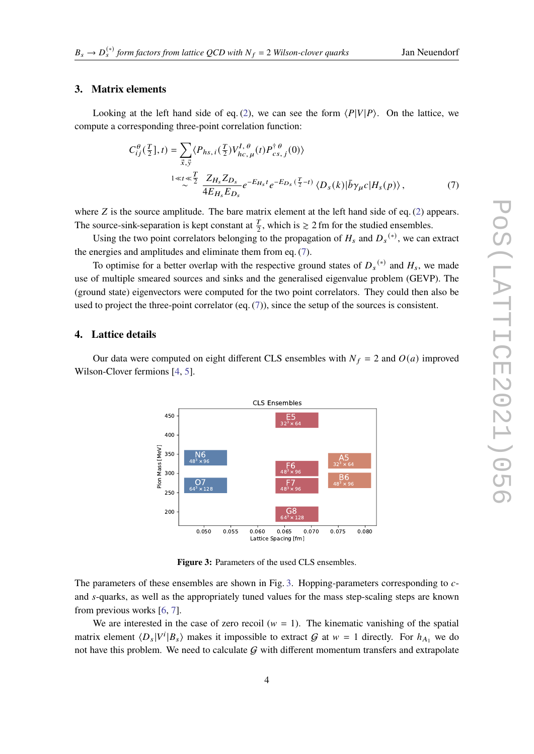## **3. Matrix elements**

Looking at the left hand side of eq. [\(2\)](#page-1-1), we can see the form  $\langle P|V|P\rangle$ . On the lattice, we compute a corresponding three-point correlation function:

<span id="page-3-0"></span>
$$
C_{ij}^{\theta}(\frac{T}{2}],t) = \sum_{\vec{x},\vec{y}} \langle P_{hs,i}(\frac{T}{2})V_{hc,\mu}^{I,\theta}(t)P_{cs,j}^{\dagger\theta}(0) \rangle
$$
  

$$
\xrightarrow{1 \ll t \ll \frac{T}{2}} \frac{Z_{H_s}Z_{D_s}}{4E_{H_s}E_{D_s}} e^{-E_{H_s}t}e^{-E_{D_s}(\frac{T}{2}-t)} \langle D_s(k)|\bar{b}\gamma_{\mu}c|H_s(p) \rangle, \qquad (7)
$$

where  $Z$  is the source amplitude. The bare matrix element at the left hand side of eq. [\(2\)](#page-1-1) appears. The source-sink-separation is kept constant at  $\frac{T}{2}$ , which is  $\geq 2$  fm for the studied ensembles.

Using the two point correlators belonging to the propagation of  $H_s$  and  $D_s^{(*)}$ , we can extract the energies and amplitudes and eliminate them from eq. [\(7\)](#page-3-0).

To optimise for a better overlap with the respective ground states of  $D_s^{(*)}$  and  $H_s$ , we made use of multiple smeared sources and sinks and the generalised eigenvalue problem (GEVP). The (ground state) eigenvectors were computed for the two point correlators. They could then also be used to project the three-point correlator (eq. [\(7\)](#page-3-0)), since the setup of the sources is consistent.

#### **4. Lattice details**

Our data were computed on eight different CLS ensembles with  $N_f = 2$  and  $O(a)$  improved Wilson-Clover fermions [\[4,](#page-6-3) [5\]](#page-6-4).



<span id="page-3-1"></span>**Figure 3:** Parameters of the used CLS ensembles.

The parameters of these ensembles are shown in Fig. [3.](#page-3-1) Hopping-parameters corresponding to cand s-quarks, as well as the appropriately tuned values for the mass step-scaling steps are known from previous works [\[6,](#page-6-5) [7\]](#page-6-6).

We are interested in the case of zero recoil ( $w = 1$ ). The kinematic vanishing of the spatial matrix element  $\langle D_s | V^i | B_s \rangle$  makes it impossible to extract G at  $w = 1$  directly. For  $h_{A_1}$  we do not have this problem. We need to calculate  $G$  with different momentum transfers and extrapolate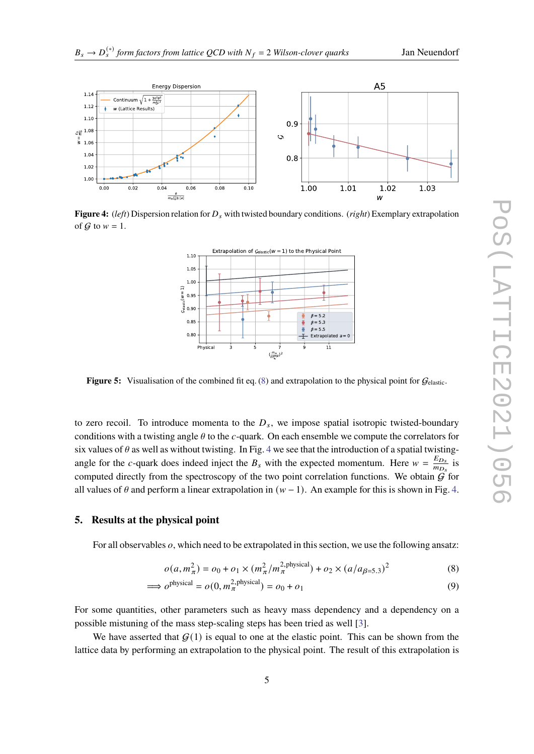

 $0.8$ 

<span id="page-4-3"></span> $0.00$  $0.02$  $0.06$  $0.08$  $0.10$  $1.00$  $1.01$  $1.02$ 1.03  $0.04$ W **Figure 4:** (*left*) Dispersion relation for  $D_s$  with twisted boundary conditions. (*right*) Exemplary extrapolation of  $G$  to  $w = 1$ .



**Figure 5:** Visualisation of the combined fit eq. [\(8\)](#page-4-1) and extrapolation to the physical point for  $G_{\text{elastic}}$ .

to zero recoil. To introduce momenta to the  $D_s$ , we impose spatial isotropic twisted-boundary conditions with a twisting angle  $\theta$  to the c-quark. On each ensemble we compute the correlators for six values of  $\theta$  as well as without twisting. In Fig. [4](#page-4-2) we see that the introduction of a spatial twistingangle for the c-quark does indeed inject the  $B_s$  with the expected momentum. Here  $w = \frac{E_{D_s}}{m_B}$  $rac{E_{D_s}}{m_{D_s}}$  is computed directly from the spectroscopy of the two point correlation functions. We obtain  $\hat{G}$  for all values of  $\theta$  and perform a linear extrapolation in  $(w - 1)$ . An example for this is shown in Fig. [4.](#page-4-2)

## <span id="page-4-0"></span>**5. Results at the physical point**

s

 $\frac{1}{2}$  1.06  $1.04$ 

> $1.02$ 1.00

<span id="page-4-2"></span> $1.14$ 

 $1.12$ 

 $1.1<sub>0</sub>$ 

For all observables  $\rho$ , which need to be extrapolated in this section, we use the following ansatz:

<span id="page-4-1"></span>
$$
o(a, m_{\pi}^2) = o_0 + o_1 \times (m_{\pi}^2 / m_{\pi}^{2, \text{physical}}) + o_2 \times (a / a_{\beta = 5.3})^2
$$
 (8)

$$
\implies o^{\text{physical}} = o(0, m_{\pi}^{2, \text{physical}}) = o_0 + o_1 \tag{9}
$$

For some quantities, other parameters such as heavy mass dependency and a dependency on a possible mistuning of the mass step-scaling steps has been tried as well [\[3\]](#page-6-2).

We have asserted that  $G(1)$  is equal to one at the elastic point. This can be shown from the lattice data by performing an extrapolation to the physical point. The result of this extrapolation is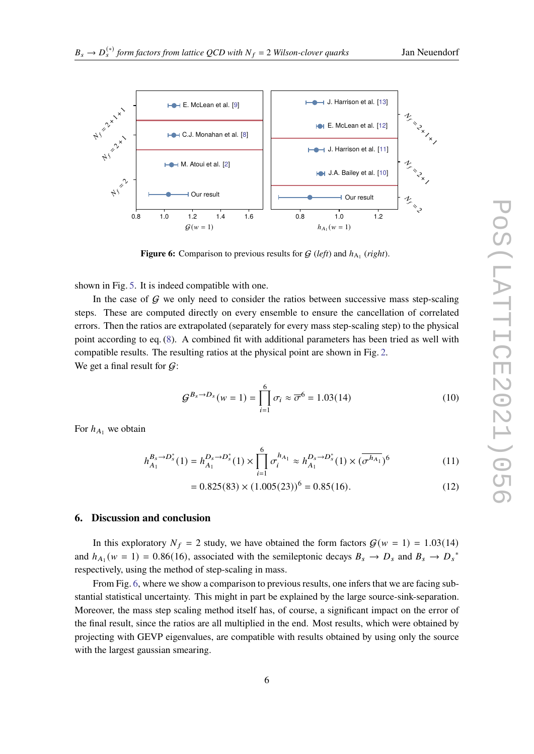<span id="page-5-0"></span>

**Figure 6:** Comparison to previous results for  $G$  (*left*) and  $h_{A_1}$  (*right*).

shown in Fig. [5.](#page-4-3) It is indeed compatible with one.

In the case of  $G$  we only need to consider the ratios between successive mass step-scaling steps. These are computed directly on every ensemble to ensure the cancellation of correlated errors. Then the ratios are extrapolated (separately for every mass step-scaling step) to the physical point according to eq. [\(8\)](#page-4-1). A combined fit with additional parameters has been tried as well with compatible results. The resulting ratios at the physical point are shown in Fig. [2.](#page-2-0) We get a final result for  $\mathcal{G}$ :

$$
\mathcal{G}^{B_s \to D_s}(w=1) = \prod_{i=1}^{6} \sigma_i \approx \overline{\sigma}^6 = 1.03(14)
$$
 (10)

For  $h_{A_1}$  we obtain

$$
h_{A_1}^{B_s \to D_s^*}(1) = h_{A_1}^{D_s \to D_s^*}(1) \times \prod_{i=1}^6 \sigma_i^{h_{A_1}} \approx h_{A_1}^{D_s \to D_s^*}(1) \times (\overline{\sigma^{h_{A_1}}})^6
$$
 (11)

$$
= 0.825(83) \times (1.005(23))^{6} = 0.85(16). \tag{12}
$$

## **6. Discussion and conclusion**

In this exploratory  $N_f = 2$  study, we have obtained the form factors  $G(w = 1) = 1.03(14)$ and  $h_{A_1}(w = 1) = 0.86(16)$ , associated with the semileptonic decays  $B_s \to D_s$  and  $B_s \to D_s^*$ respectively, using the method of step-scaling in mass.

From Fig. [6,](#page-5-0) where we show a comparison to previous results, one infers that we are facing substantial statistical uncertainty. This might in part be explained by the large source-sink-separation. Moreover, the mass step scaling method itself has, of course, a significant impact on the error of the final result, since the ratios are all multiplied in the end. Most results, which were obtained by projecting with GEVP eigenvalues, are compatible with results obtained by using only the source with the largest gaussian smearing.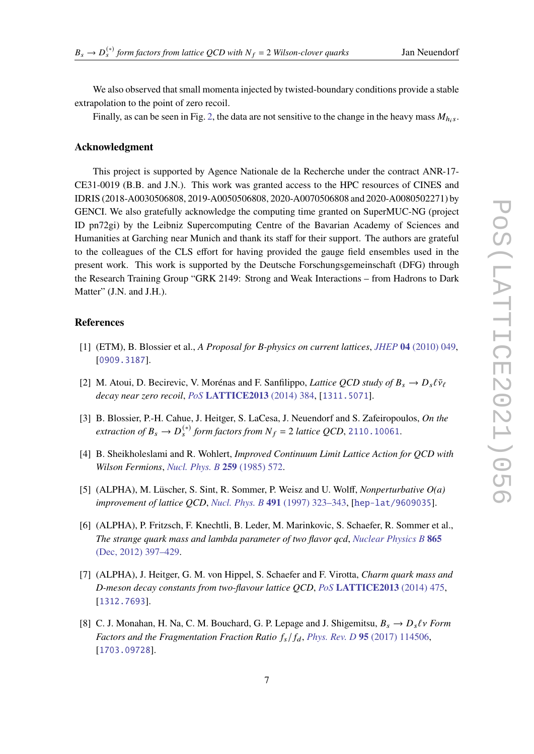We also observed that small momenta injected by twisted-boundary conditions provide a stable extrapolation to the point of zero recoil.

Finally, as can be seen in Fig. [2,](#page-2-0) the data are not sensitive to the change in the heavy mass  $M_{h,s}$ .

#### **Acknowledgment**

This project is supported by Agence Nationale de la Recherche under the contract ANR-17- CE31-0019 (B.B. and J.N.). This work was granted access to the HPC resources of CINES and IDRIS (2018-A0030506808, 2019-A0050506808, 2020-A0070506808 and 2020-A0080502271) by GENCI. We also gratefully acknowledge the computing time granted on SuperMUC-NG (project ID pn72gi) by the Leibniz Supercomputing Centre of the Bavarian Academy of Sciences and Humanities at Garching near Munich and thank its staff for their support. The authors are grateful to the colleagues of the CLS effort for having provided the gauge field ensembles used in the present work. This work is supported by the Deutsche Forschungsgemeinschaft (DFG) through the Research Training Group "GRK 2149: Strong and Weak Interactions – from Hadrons to Dark Matter" (J.N. and J.H.).

# **References**

- <span id="page-6-0"></span>[1] (ETM), B. Blossier et al., *A Proposal for B-physics on current lattices*, *JHEP* **04** [\(2010\) 049,](http://dx.doi.org/10.1007/JHEP04(2010)049) [[0909.3187](http://arxiv.org/abs/0909.3187)].
- <span id="page-6-1"></span>[2] M. Atoui, D. Becirevic, V. Morénas and F. Sanfilippo, *Lattice QCD study of*  $B_s \to D_s \ell \bar{\nu}_{\ell}$ *decay near zero recoil*, *PoS* **[LATTICE2013](http://dx.doi.org/10.22323/1.187.0384)** (2014) 384, [[1311.5071](http://arxiv.org/abs/1311.5071)].
- <span id="page-6-2"></span>[3] B. Blossier, P.-H. Cahue, J. Heitger, S. LaCesa, J. Neuendorf and S. Zafeiropoulos, *On the*  $extraction of B_s \rightarrow D_s^{(*)}$  form factors from  $N_f$  = 2 lattice QCD, 2110 .10061.
- <span id="page-6-3"></span>[4] B. Sheikholeslami and R. Wohlert, *Improved Continuum Limit Lattice Action for QCD with Wilson Fermions*, *[Nucl. Phys. B](http://dx.doi.org/10.1016/0550-3213(85)90002-1)* **259** (1985) 572.
- <span id="page-6-4"></span>[5] (ALPHA), M. Lüscher, S. Sint, R. Sommer, P. Weisz and U. Wolff, *Nonperturbative O(a) improvement of lattice QCD*, *[Nucl. Phys. B](http://dx.doi.org/10.1016/S0550-3213(97)00080-1)* **491** (1997) 323–343, [[hep-lat/9609035](http://arxiv.org/abs/hep-lat/9609035)].
- <span id="page-6-5"></span>[6] (ALPHA), P. Fritzsch, F. Knechtli, B. Leder, M. Marinkovic, S. Schaefer, R. Sommer et al., *The strange quark mass and lambda parameter of two flavor qcd*, *[Nuclear Physics B](http://dx.doi.org/10.1016/j.nuclphysb.2012.07.026)* **865** [\(Dec, 2012\) 397–429.](http://dx.doi.org/10.1016/j.nuclphysb.2012.07.026)
- <span id="page-6-6"></span>[7] (ALPHA), J. Heitger, G. M. von Hippel, S. Schaefer and F. Virotta, *Charm quark mass and D-meson decay constants from two-flavour lattice QCD*, *PoS* **[LATTICE2013](http://dx.doi.org/10.22323/1.187.0475)** (2014) 475, [[1312.7693](http://arxiv.org/abs/1312.7693)].
- <span id="page-6-7"></span>[8] C. J. Monahan, H. Na, C. M. Bouchard, G. P. Lepage and J. Shigemitsu,  $B_s \to D_s \ell v$  Form *Factors and the Fragmentation Fraction Ratio*  $f_s/f_d$ , *[Phys. Rev. D](http://dx.doi.org/10.1103/PhysRevD.95.114506)* 95 (2017) 114506, [[1703.09728](http://arxiv.org/abs/1703.09728)].